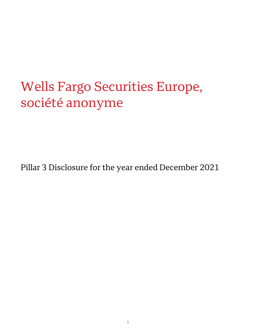# Wells Fargo Securities Europe, société anonyme

Pillar 3 Disclosure for the year ended December 2021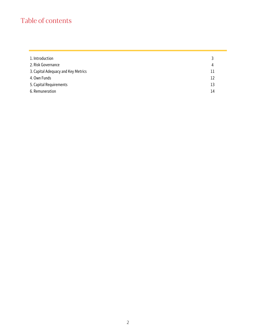# Table of contents

| 1. Introduction                     | 3  |
|-------------------------------------|----|
| 2. Risk Governance                  | 4  |
| 3. Capital Adequacy and Key Metrics | 11 |
| 4. Own Funds                        | 12 |
| 5. Capital Requirements             | 13 |
| 6. Remuneration                     | 14 |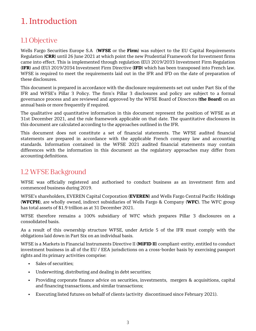# <span id="page-2-0"></span>1. Introduction

## 1.1 Objective

 Wells Fargo Securities Europe S.A (**WFSE** or the **Firm**) was subject to the EU Capital Requirements Regulation (**CRR**) until 26 June 2021 at which point the new Prudential Framework for Investment firms came into effect. This is implemented through regulation (EU) 2019/2033 Investment Firm Regulation (**IFR**) and (EU) 2019/2034 Investment Firm Directive (**IFD**) which has been transposed into French law. WFSE is required to meet the requirements laid out in the IFR and IFD on the date of preparation of these disclosures.

 This document is prepared in accordance with the disclosure requirements set out under Part Six of the IFR and WFSE's Pillar 3 Policy. The firm's Pillar 3 disclosures and policy are subject to a formal governance process and are reviewed and approved by the WFSE Board of Directors (**the Board**) on an annual basis or more frequently if required.

 The qualitative and quantitative information in this document represent the position of WFSE as at 31st December 2021, and the rule framework applicable on that date. The quantitative disclosures in this document are calculated according to the approaches outlined in the IFR.

 This document does not constitute a set of financial statements. The WFSE audited financial statements are prepared in accordance with the applicable French company law and accounting standards. Information contained in the WFSE 2021 audited financial statements may contain differences with the information in this document as the regulatory approaches may differ from accounting definitions.

### 1.2 WFSE Background

 WFSE was officially registered and authorised to conduct business as an investment firm and commenced business during 2019.

 WFSE's shareholders, EVEREN Capital Corporation (**EVEREN**) and Wells Fargo Central Pacific Holdings (**WFCPH**), are wholly owned, indirect subsidiaries of Wells Fargo & Company (**WFC**). The WFC group has total assets of \$1.9 trillion as at 31 December 2021.

 WFSE therefore remains a 100% subsidiary of WFC which prepares Pillar 3 disclosures on a consolidated basis.

 As a result of this ownership structure WFSE, under Article 5 of the IFR must comply with the obligations laid down in Part Six on an individual basis.

 WFSE is a Markets in Financial Instruments Directive II (**MiFID II**) compliant-entity, entitled to conduct investment business in all of the EU / EEA jurisdictions on a cross-border basis by exercising passport rights and its primary activities comprise:

- Sales of securities;
- Underwriting, distributing and dealing in debt securities;
- • Providing corporate finance advice on securities, investments, mergers & acquisitions, capital and financing transactions, and similar transactions;
- Executing listed futures on behalf of clients (activity discontinued since February 2021).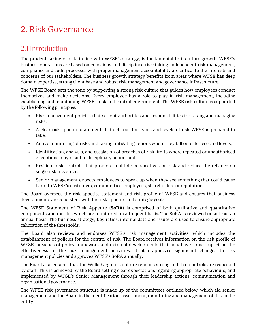# <span id="page-3-0"></span>2. Risk Governance

### 2.1 Introduction

 The prudent taking of risk, in line with WFSE's strategy, is fundamental to its future growth. WFSE's business operations are based on conscious and disciplined risk-taking. Independent risk management, compliance and audit processes with proper management accountability are critical to the interests and concerns of our stakeholders. The business growth strategy benefits from areas where WFSE has deep domain expertise, strong client base and robust risk management and governance infrastructure.

 The WFSE Board sets the tone by supporting a strong risk culture that guides how employees conduct themselves and make decisions. Every employee has a role to play in risk management, including establishing and maintaining WFSE's risk and control environment. The WFSE risk culture is supported by the following principles:

- • Risk management policies that set out authorities and responsibilities for taking and managing risks;
- • A clear risk appetite statement that sets out the types and levels of risk WFSE is prepared to take;
- Active monitoring of risks and taking mitigating actions where they fall outside accepted levels;
- • Identification, analysis, and escalation of breaches of risk limits where repeated or unauthorised exceptions may result in disciplinary action; and
- • Resilient risk controls that promote multiple perspectives on risk and reduce the reliance on single risk measures.
- • Senior management expects employees to speak up when they see something that could cause harm to WFSE's customers, communities, employees, shareholders or reputation.

 The Board oversees the risk appetite statement and risk profile of WFSE and ensures that business developments are consistent with the risk appetite and strategic goals.

 The WFSE Statement of Risk Appetite (**SoRA**) is comprised of both qualitative and quantitative components and metrics which are monitored on a frequent basis. The SoRA is reviewed on at least an annual basis. The business strategy, key ratios, internal data and issues are used to ensure appropriate calibration of the thresholds.

 The Board also reviews and endorses WFSE's risk management activities, which includes the establishment of policies for the control of risk. The Board receives information on the risk profile of WFSE, breaches of policy framework and external developments that may have some impact on the effectiveness of the risk management activities. It also approves significant changes to risk management policies and approves WFSE's SoRA annually.

 The Board also ensures that the Wells Fargo risk culture remains strong and that controls are respected by staff. This is achieved by the Board setting clear expectations regarding appropriate behaviours; and implemented by WFSE's Senior Management through their leadership actions, communication and organisational governance.

 The WFSE risk governance structure is made up of the committees outlined below, which aid senior management and the Board in the identification, assessment, monitoring and management of risk in the entity.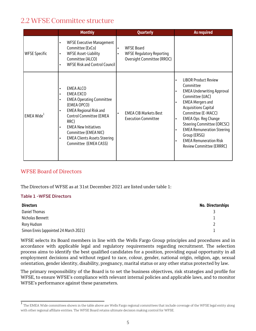### 2.2 WFSE Committee structure

|                        | <b>Monthly</b>                                                                                                                                                                                                                                                                                                                               | Quarterly                                                                                        | <b>As required</b>                                                                                                                                                                                                                                                                                                                                                                              |
|------------------------|----------------------------------------------------------------------------------------------------------------------------------------------------------------------------------------------------------------------------------------------------------------------------------------------------------------------------------------------|--------------------------------------------------------------------------------------------------|-------------------------------------------------------------------------------------------------------------------------------------------------------------------------------------------------------------------------------------------------------------------------------------------------------------------------------------------------------------------------------------------------|
| <b>WFSE Specific</b>   | <b>WFSE Executive Management</b><br>Committee (ExCo)<br><b>WFSE Asset-Liability</b><br>Committee (ALCO)<br><b>WFSE Risk and Control Council</b>                                                                                                                                                                                              | <b>WFSE Board</b><br>$\bullet$<br><b>WFSE Regulatory Reporting</b><br>Oversight Committee (RROC) |                                                                                                                                                                                                                                                                                                                                                                                                 |
| EMEA Wide <sup>1</sup> | <b>EMEA ALCO</b><br>$\bullet$<br><b>EMEA EXCO</b><br>$\bullet$<br><b>EMEA Operating Committee</b><br>$\bullet$<br>(EMEA OPCO)<br><b>EMEA Regional Risk and</b><br><b>Control Committee (EMEA</b><br>RRC)<br><b>EMEA New Initiatives</b><br>Committee (EMEA NIC)<br><b>EMEA Clients Assets Steering</b><br>$\bullet$<br>Committee (EMEA CASS) | <b>EMEA CIB Markets Best</b><br>٠<br><b>Execution Committee</b>                                  | <b>LIBOR Product Review</b><br>Committee<br><b>EMEA Underwriting Approval</b><br>Committee (UAC)<br><b>EMEA Mergers and</b><br><b>Acquisitions Capital</b><br>Committee (E-MACC)<br><b>EMEA Ops Reg Change</b><br>$\bullet$<br><b>Steering Committee (ORCSC)</b><br><b>EMEA Remuneration Steering</b><br>$\bullet$<br>Group (ERSG)<br><b>EMEA Remuneration Risk</b><br>Review Committee (ERRRC) |

#### WFSE Board of Directors

The Directors of WFSE as at 31st December 2021 are listed under table 1:

#### **Table 1 -WFSE Directors**

| <b>Directors</b>                      | No. Directorships |
|---------------------------------------|-------------------|
| Daniel Thomas                         |                   |
| Nicholas Bennett                      |                   |
| Rory Hudson                           |                   |
| Simon Ennis (appointed 24 March 2021) |                   |

 WFSE selects its Board members in line with the Wells Fargo Group principles and procedures and in accordance with applicable legal and regulatory requirements regarding recruitment. The selection process aims to identify the best qualified candidates for a position, providing equal opportunity in all employment decisions and without regard to race, colour, gender, national origin, religion, age, sexual orientation, gender identity, disability, pregnancy, marital status or any other status protected by law.

 The primary responsibility of the Board is to set the business objectives, risk strategies and profile for WFSE, to ensure WFSE's compliance with relevant internal policies and applicable laws, and to monitor WFSE's performance against these parameters.

 $^{\rm 1}$  The EMEA Wide committees shown in the table above are Wells Fargo regional committees that include coverage of the WFSE legal entity along with other regional affiliate entities. The WFSE Board retains ultimate decision making control for WFSE.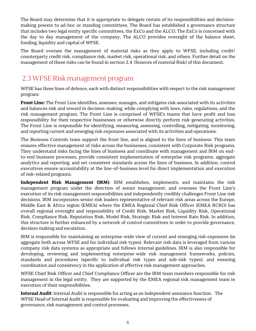The Board may determine that it is appropriate to delegate certain of its responsibilities and decision- making powers to ad-hoc or standing committees. The Board has established a governance structure that includes two legal entity specific committees, the ExCo and the ALCO. The ExCo is concerned with the day to day management of the company. The ALCO provides oversight of the balance sheet, funding, liquidity and capital of WFSE.

 The Board oversee the management of material risks as they apply to WFSE, including credit/ counterparty credit risk, compliance risk, market risk, operational risk, and others. Further detail on the management of these risks can be found in section 2.4 (Sources of material Risk) of this document.

### 2.3 WFSE Risk management program

 WFSE has three lines of defence, each with distinct responsibilities with respect to the risk management program:

 **Front Line:** The Front Line identifies, assesses, manages, and mitigates risk associated with its activities and balances risk and reward in decision-making, while complying with laws, rules, regulations, and the risk management program. The Front Line is comprised of WFSE's teams that have profit and loss responsibility for their respective businesses or otherwise directly perform risk-generating activities. The Front Line is responsible for identifying, measuring, assessing, controlling, mitigating, monitoring, and reporting current and emerging risk exposures associated with its activities and operations.

 The Business Controls team support the front line, and is aligned to the lines of business. This team ensures effective management of risks across the businesses, consistent with Corporate Risk programs. They understand risks facing the lines of business and coordinate with management and IRM on end- to-end business processes, provide consistent implementation of enterprise risk programs, aggregate analytics and reporting, and set consistent standards across the lines of business. In addition, control executives ensure accountability at the line-of-business level for direct implementation and execution of risk-related programs.

 **Independent Risk Management (IRM)**: IRM establishes, implements, and maintains the risk management program under the direction of senior management, and oversees the Front Line's execution of its risk management responsibilities and independently credibly challenges Front Line risk decisions. IRM incorporates senior risk leaders representative of relevant risk areas across the Europe, Middle East & Africa region (EMEA) where the EMEA Regional Chief Risk Officer (EMEA RCRO) has overall regional oversight and responsibility of Credit Risk, Market Risk, Liquidity Risk, Operational Risk, Compliance Risk, Reputation Risk, Model Risk, Strategic Risk and Interest Rate Risk. In addition, this structure is further enhanced by a network of control committees in order to provide governance, decision making and escalation.

 IRM is responsible for maintaining an enterprise-wide view of current and emerging risk exposures (in aggregate both across WFSE and for individual risk types). Relevant risk data is leveraged from various company risk data systems as appropriate and follows internal guidelines. IRM is also responsible for developing, reviewing and implementing enterprise-wide risk management frameworks, policies, standards and procedures (specific to individual risk types and sub-risk types); and ensuring coordination and consistency in the application of effective risk management approaches.

 WFSE Chief Risk Officer and Chief Compliance Officer are the IRM team members responsible for risk management in the legal entity. They are supported by the EMEA regional risk management team in execution of their responsibilities.

 **Internal Audit**: Internal Audit is responsible for acting as an independent assurance function. The WFSE Head of Internal Audit is responsible for evaluating and improving the effectiveness of governance, risk management and control processes.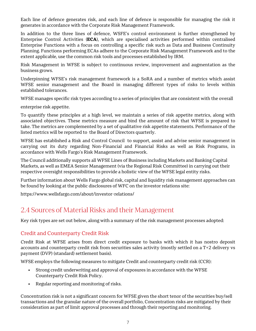Each line of defence generates risk, and each line of defence is responsible for managing the risk it generates in accordance with the Corporate Risk Management Framework.

 In addition to the three lines of defence, WSFE's control environment is further strengthened by Enterprise Control Activities (**ECA**), which are specialised activities performed within centralised Enterprise Functions with a focus on controlling a specific risk such as Data and Business Continuity Planning. Functions performing ECAs adhere to the Corporate Risk Management Framework and to the extent applicable, use the common risk tools and processes established by IRM.

 Risk Management in WFSE is subject to continuous review, improvement and augmentation as the business grows.

 Underpinning WFSE's risk management framework is a SoRA and a number of metrics which assist WFSE senior management and the Board in managing different types of risks to levels within established tolerances.

WFSE manages specific risk types according to a series of principles that are consistent with the overall

enterprise risk appetite.

 To quantify these principles at a high level, we maintain a series of risk appetite metrics, along with associated objectives. These metrics measure and bind the amount of risk that WFSE is prepared to take. The metrics are complemented by a set of qualitative risk appetite statements. Performance of the listed metrics will be reported to the Board of Directors quarterly.

 WFSE has established a Risk and Control Council to support, assist and advise senior management in carrying out its duty regarding Non-Financial and Financial Risks as well as Risk Programs, in accordance with Wells Fargo's Risk Management Framework.

 The Council additionally supports all WFSE Lines of Business including Markets and Banking Capital Markets, as well as EMEA Senior Management (via the Regional Risk Committee) in carrying out their respective oversight responsibilities to provide a holistic view of the WFSE legal entity risks.

 Further information about Wells Fargo global risk, capital and liquidity risk management approaches can be found by looking at the public disclosures of WFC on the investor relations site:

<https://www.wellsfargo.com/about/investor-relations/>

### 2.4 Sources of Material Risks and their Management

Key risk types are set out below, along with a summary of the risk management processes adopted:

#### Credit and Counterparty Credit Risk

 *C*redit Risk at WFSE arises from direct credit exposure to banks with which it has nostro deposit accounts and counterparty credit risk from securities sales activity (mostly settled on a T+2 delivery vs payment (DVP) (standard) settlement basis).

WFSE employs the following measures to mitigate Credit and counterparty credit risk (CCR):

- • Strong credit underwriting and approval of exposures in accordance with the WFSE Counterparty Credit Risk Policy.
- Regular reporting and monitoring of risks.

 Concentration risk is not a significant concern for WFSE given the short tenor of the securities buy/sell transactions and the granular nature of the overall portfolio, Concentration risks are mitigated by their consideration as part of limit approval processes and through their reporting and monitoring.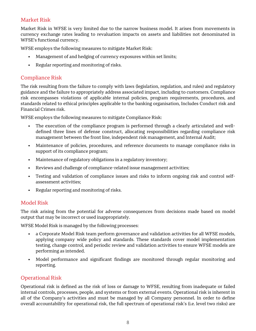#### Market Risk

 Market Risk in WFSE is very limited due to the narrow business model. It arises from movements in currency exchange rates leading to revaluation impacts on assets and liabilities not denominated in WFSE's functional currency.

WFSE employs the following measures to mitigate Market Risk:

- Management of and hedging of currency exposures within set limits;
- Regular reporting and monitoring of risks.

#### Compliance Risk

 The risk resulting from the failure to comply with laws (legislation, regulation, and rules) and regulatory guidance and the failure to appropriately address associated impact, including to customers. Compliance risk encompasses violations of applicable internal policies, program requirements, procedures, and standards related to ethical principles applicable to the banking organisation, Includes Conduct risk and Financial Crimes risk.

WFSE employs the following measures to mitigate Compliance Risk:

- • The execution of the compliance program is performed through a clearly articulated and well- defined three lines of defense construct, allocating responsibilities regarding compliance risk management between the front line, independent risk management, and Internal Audit;
- • Maintenance of policies, procedures, and reference documents to manage compliance risks in support of its compliance program;
- Maintenance of regulatory obligations in a regulatory inventory;
- Reviews and challenge of compliance-related issue management activities;
- • Testing and validation of compliance issues and risks to inform ongoing risk and control selfassessment activities;
- Regular reporting and monitoring of risks.

#### Model Risk

 The risk arising from the potential for adverse consequences from decisions made based on model output that may be incorrect or used inappropriately.

WFSE Model Risk is managed by the following processes:

- • a Corporate Model Risk team perform governance and validation activities for all WFSE models, applying company wide policy and standards. These standards cover model implementation testing, change control, and periodic review and validation activities to ensure WFSE models are performing as intended.
- • Model performance and significant findings are monitored through regular monitoring and reporting.

#### Operational Risk

 Operational risk is defined as the risk of loss or damage to WFSE, resulting from inadequate or failed internal controls, processes, people, and systems or from external events. Operational risk is inherent in all of the Company's activities and must be managed by all Company personnel. In order to define overall accountability for operational risk, the full spectrum of operational risk's (i.e. level two risks) are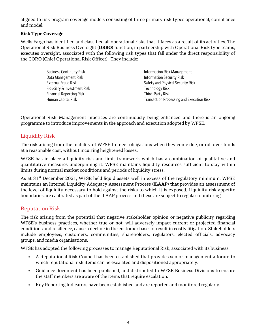aligned to risk program coverage models consisting of three primary risk types operational, compliance and model.

#### **Risk Type Coverage**

 Wells Fargo has identified and classified all operational risks that it faces as a result of its activities. The Operational Risk Business Oversight (**ORBO**) function, in partnership with Operational Risk type teams, executes oversight, associated with the following risk types that fall under the direct responsibility of the CORO (Chief Operational Risk Officer). They include:

| <b>Business Continuity Risk</b> | <b>Information Risk Management</b>               |
|---------------------------------|--------------------------------------------------|
| Data Management Risk            | <b>Information Security Risk</b>                 |
| <b>External Fraud Risk</b>      | Safety and Physical Security Risk                |
| Fiduciary & Investment Risk     | <b>Technology Risk</b>                           |
| <b>Financial Reporting Risk</b> | Third-Party Risk                                 |
| Human Capital Risk              | <b>Transaction Processing and Execution Risk</b> |

 Operational Risk Management practices are continuously being enhanced and there is an ongoing programme to introduce improvements in the approach and execution adopted by WFSE.

#### Liquidity Risk

 The risk arising from the inability of WFSE to meet obligations when they come due, or roll over funds at a reasonable cost, without incurring heightened losses.

 WFSE has in place a liquidity risk and limit framework which has a combination of qualitative and quantitative measures underpinning it. WFSE maintains liquidity resources sufficient to stay within limits during normal market conditions and periods of liquidity stress.

As at 31 $^{\rm st}$  December 2021, WFSE held liquid assets well in excess of the regulatory minimum. WFSE maintains an Internal Liquidity Adequacy Assessment Process (**ILAAP**) that provides an assessment of the level of liquidity necessary to hold against the risks to which it is exposed. Liquidity risk appetite boundaries are calibrated as part of the ILAAP process and these are subject to regular monitoring.

#### Reputation Risk

 The risk arising from the potential that negative stakeholder opinion or negative publicity regarding WFSE's business practices, whether true or not, will adversely impact current or projected financial conditions and resilience, cause a decline in the customer base, or result in costly litigation. Stakeholders include employees, customers, communities, shareholders, regulators, elected officials, advocacy groups, and media organisations.

WFSE has adopted the following processes to manage Reputational Risk, associated with its business:

- • A Reputational Risk Council has been established that provides senior management a forum to which reputational risk items can be escalated and dispositioned appropriately.
- • Guidance document has been published, and distributed to WFSE Business Divisions to ensure the staff members are aware of the items that require escalation.
- Key Reporting Indicators have been established and are reported and monitored regularly.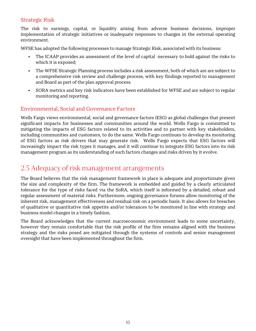#### Strategic Risk

 The risk to earnings, capital, or liquidity arising from adverse business decisions, improper implementation of strategic initiatives or inadequate responses to changes in the external operating environment.

WFSE has adopted the following processes to manage Strategic Risk, associated with its business:

- • The ICAAP provides an assessment of the level of capital necessary to hold against the risks to which it is exposed;
- • The WFSE Strategic Planning process includes a risk assessment, both of which are are subject to a comprehensive risk review and challenge process, with key findings reported to management and Board as part of the plan approval process.
- • SORA metrics and key risk indicators have been established for WFSE and are subject to regular monitoring and reporting.

#### Environmental, Social and Governance Factors

 Wells Fargo views environmental, social and governance factors (ESG) as global challenges that present significant impacts for businesses and communities around the world. Wells Fargo is committed to mitigating the impacts of ESG factors related to its activities and to partner with key stakeholders, including communities and customers, to do the same. Wells Fargo continues to develop its monitoring of ESG factors as risk drivers that may generate risk. Wells Fargo expects that ESG factors will increasingly impact the risk types it manages, and it will continue to integrate ESG factors into its risk management program as its understanding of such factors changes and risks driven by it evolve.

### 2.5 Adequacy of risk management arrangements

 The Board believes that the risk management framework in place is adequate and proportionate given the size and complexity of the firm. The framework is embedded and guided by a clearly articulated tolerance for the type of risks faced via the SoRA, which itself is informed by a detailed, robust and regular assessment of material risks. Furthermore, ongoing governance forums allow monitoring of the inherent risk, management effectiveness and residual risk on a periodic basis. It also allows for breaches of qualitative or quantitative risk appetite and/or tolerances to be monitored in line with strategy and business model changes in a timely fashion.

 The Board acknowledges that the current macroeconomic environment leads to some uncertainty, however they remain comfortable that the risk profile of the firm remains aligned with the business strategy and the risks posed are mitigated through the systems of controls and senior management oversight that have been implemented throughout the firm.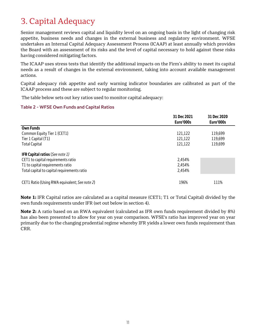# <span id="page-10-0"></span>3. Capital Adequacy

 Senior management reviews capital and liquidity level on an ongoing basis in the light of changing risk appetite, business needs and changes in the external business and regulatory environment. WFSE undertakes an Internal Capital Adequacy Assessment Process (ICAAP) at least annually which provides the Board with an assessment of its risks and the level of capital necessary to hold against these risks having considered mitigating factors.

 The ICAAP uses stress tests that identify the additional impacts on the Firm's ability to meet its capital needs as a result of changes in the external environment, taking into account available management actions.

 Capital adequacy risk appetite and early warning indicator boundaries are calibrated as part of the ICAAP process and these are subject to regular monitoring.

The table below sets out key ratios used to monitor capital adequacy:

#### **Table 2 - WFSE Own Funds and Capital Ratios**

|                                               | 31 Dec 2021<br>Euro'000s | 31 Dec 2020<br>Euro'000s |
|-----------------------------------------------|--------------------------|--------------------------|
| <b>Own Funds</b>                              |                          |                          |
| Common Equity Tier 1 (CET1)                   | 121,122                  | 119,699                  |
| Tier 1 Capital (T1)                           | 121,122                  | 119,699                  |
| <b>Total Capital</b>                          | 121,122                  | 119,699                  |
| <b>IFR Capital ratios</b> (See note 1)        |                          |                          |
| CET1 to capital requirements ratio            | 2,454%                   |                          |
| T1 to capital requirements ratio              | 2,454%                   |                          |
| Total capital to capital requirements ratio   | 2,454%                   |                          |
| CET1 Ratio (Using RWA equivalent; See note 2) | 196%                     | 111%                     |

 **Note 1:** IFR Capital ratios are calculated as a capital measure (CET1; T1 or Total Capital) divided by the own funds requirements under IFR (set out below in section 4).

 **Note 2:** A ratio based on an RWA equivalent (calculated as IFR own funds requirement divided by 8%) has also been presented to allow for year on year comparison. WFSE's ratio has improved year on year primarily due to the changing prudential regime whereby IFR yields a lower own funds requirement than CRR.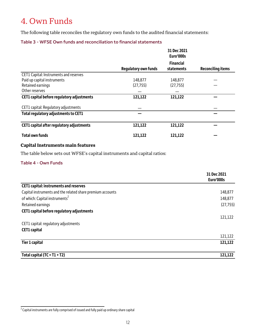# <span id="page-11-0"></span>4. Own Funds

The following table reconciles the regulatory own funds to the audited financial statements:

#### **Table 3 - WFSE Own funds and reconciliation to financial statements**

|                                            |                             | 31 Dec 2021<br>Euro'000s |                          |
|--------------------------------------------|-----------------------------|--------------------------|--------------------------|
|                                            |                             | <b>Financial</b>         |                          |
|                                            | <b>Regulatory own funds</b> | statements               | <b>Reconciling items</b> |
| CET1 Capital: Instruments and reserves     |                             |                          |                          |
| Paid up capital instruments                | 148,877                     | 148,877                  |                          |
| Retained earnings                          | (27, 755)                   | (27, 755)                |                          |
| Other reserves                             |                             |                          |                          |
| CET1 capital before regulatory adjustments | 121,122                     | 121,122                  |                          |
| CET1 capital: Regulatory adjustments       |                             |                          |                          |
| Total regulatory adjustments to CET1       |                             |                          |                          |
| CET1 capital after regulatory adjustments  | 121,122                     | 121,122                  |                          |
| <b>Total own funds</b>                     | 121,122                     | 121,122                  |                          |

#### **Capital Instruments main features**

The table below sets out WFSE's capital instruments and capital ratios:

#### **Table 4 - Own Funds**

|                                                            | 31 Dec 2021<br>Euro'000s |
|------------------------------------------------------------|--------------------------|
| <b>CET1 capital: instruments and reserves</b>              |                          |
| Capital instruments and the related share premium accounts | 148,877                  |
| of which: Capital instruments <sup>2</sup>                 | 148,877                  |
| Retained earnings                                          | (27, 755)                |
| CET1 capital before regulatory adjustments                 |                          |
|                                                            | 121,122                  |
| CET1 capital: regulatory adjustments                       |                          |
| <b>CET1</b> capital                                        |                          |
|                                                            | 121,122                  |
| <b>Tier 1 capital</b>                                      | 121,122                  |
| Total capital $(TC = T1 + T2)$                             | 121,122                  |

j  $^{\text{2}}$  Capital instruments are fully comprised of issued and fully paid up ordinary share capital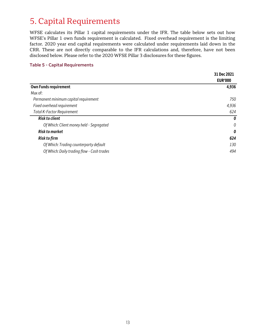# <span id="page-12-0"></span>5. Capital Requirements

 WFSE calculates its Pillar 1 capital requirements under the IFR. The table below sets out how WFSE's Pillar 1 own funds requirement is calculated. Fixed overhead requirement is the limiting factor. 2020 year end capital requirements were calculated under requirements laid down in the CRR. These are not directly comparable to the IFR calculations and, therefore, have not been disclosed below. Please refer to the 2020 WFSE Pillar 3 disclosures for these figures.

#### **Table 5 - Capital Requirements**

| 31 Dec 2021    |
|----------------|
| <b>EUR'000</b> |
| 4,936          |
|                |
| 750            |
| 4,936          |
| 624            |
| 0              |
| 0              |
| 0              |
| 624            |
| 130            |
| 494            |
|                |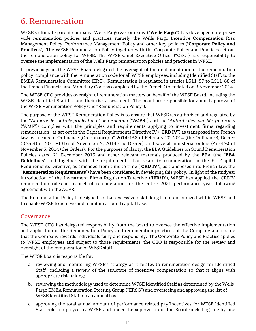# <span id="page-13-0"></span>6. Remuneration

 WFSE's ultimate parent company, Wells Fargo & Company ("**Wells Fargo**") has developed enterprise- wide remuneration policies and practices, namely the Wells Fargo Incentive Compensation Risk Management Policy, Performance Management Policy and other key policies ("**Corporate Policy and Practices**"). The WFSE Remuneration Policy together with the Corporate Policy and Practices set out the remuneration policy for WFSE. The WFSE Chief Executive Officer ("CEO") has responsibility to oversee the implementation of the Wells Fargo remuneration policies and practices in WFSE.

 In previous years the WFSE Board delegated the oversight of the implementation of the remuneration policy, compliance with the remuneration code for all WFSE employees, including Identified Staff, to the EMEA Remuneration Committee (ERC). Remuneration is regulated in articles L511-57 to L511-88 of the French Financial and Monetary Code as completed by the French Order dated on 3 November 2014.

 The WFSE CEO provides oversight of remuneration matters on behalf of the WFSE Board, including the WFSE Identified Staff list and their risk assessment. The board are responsible for annual approval of the WFSE Remuneration Policy (the "Remuneration Policy").

 The purpose of the WFSE Remuneration Policy is to ensure that WFSE (as authorized and regulated by  the "*Autorité de contrôle prudential et de résolution* ("**ACPR**") and the "*Autorité des marchés financiers* ("AMF")) complies with the principles and requirements applying to investment firms regarding remuneration as set out in the Capital Requirements Directive IV ("**CRD IV**") as transposed into French law by means of Ordinance (Ordonnance) n° 2014-158 of February 20, 2014 (the Ordinance), Decree (Décret) n° 2014-1316 of November 3, 2014 (the Decree), and several ministerial orders (Arrêtés) of November 5, 2014 (the Orders). For the purposes of clarity, the EBA Guidelines on Sound Remuneration Policies dated 21 December 2015 and other relevant materials produced by the EBA (the "**EBA Guidelines**" and together with the requirements that relate to remuneration in the EU Capital Requirements Directive, as amended from time to time ("**CRD IV**"), as transposed into French law, the "**Remuneration Requirements**") have been considered in developing this policy. In light of the midyear introduction of the Investment Firms Regulation/Directive ("**IFR/D**"), WFSE has applied the CRDIV remuneration rules in respect of remuneration for the entire 2021 performance year, following agreement with the ACPR.

 The Remuneration Policy is designed so that excessive risk taking is not encouraged within WFSE and to enable WFSE to achieve and maintain a sound capital base.

#### Governance

 The WFSE CEO has delegated responsibility from the board to oversee the effective implementation and application of the Remuneration Policy and remuneration practices of the Company and ensure that the Company rewards individuals fairly and responsibly. The Corporate Policy and Practice applies to WFSE employees and subject to those requirements, the CEO is responsible for the review and oversight of the remuneration of WFSE staff.

The WFSE Board is responsible for:

- a. reviewing and monitoring WFSE's strategy as it relates to remuneration design for Identified Staff including a review of the structure of incentive compensation so that it aligns with appropriate risk-taking;
- b. reviewing the methodology used to determine WFSE Identified Staff as determined by the Wells Fargo EMEA Remuneration Steering Group ("ERSG") and overseeing and approving the list of WFSE Identified Staff on an annual basis;
- c. approving the total annual amount of performance related pay/incentives for WFSE Identified Staff roles employed by WFSE and under the supervision of the Board (including line by line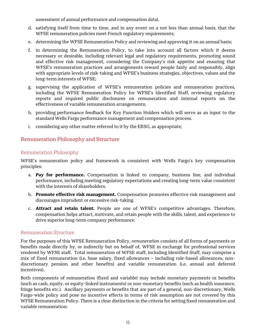assessment of annual performance and compensation data).

- d. satisfying itself from time to time, and in any event on a not less than annual basis, that the WFSE remuneration policies meet French regulatory requirements;
- e. determining the WFSE Remuneration Policy and reviewing and approving it on an annual basis;
- f. in determining the Remuneration Policy, to take into account all factors which it deems necessary or desirable, including relevant legal and regulatory requirements, promoting sound and effective risk management, considering the Company's risk appetite and ensuring that WFSE's remuneration practices and arrangements reward people fairly and responsibly, align with appropriate levels of risk-taking and WFSE's business strategies, objectives, values and the long-term interests of WFSE;
- g. supervising the application of WFSE's remuneration policies and remuneration practices, including the WFSE Remuneration Policy for WFSE's Identified Staff, reviewing regulatory reports and required public disclosures on remuneration and internal reports on the effectiveness of variable remuneration arrangements;
- h. providing performance feedback for Key Function Holders which will serve as an input to the standard Wells Fargo performance management and compensation process.
- i. considering any other matter referred to it by the ERSG, as appropriate;

#### Remuneration Philosophy and Structure

#### Remuneration Philosophy

 WFSE's remuneration policy and framework is consistent with Wells Fargo's key compensation principles:

- a. **Pay for performance.** Compensation is linked to company, business line, and individual performance, including meeting regulatory expectations and creating long-term value consistent with the interests of shareholders.
- b. **Promote effective risk management.** Compensation promotes effective risk management and discourages imprudent or excessive risk-taking.
- c. **Attract and retain talent.** People are one of WFSE's competitive advantages. Therefore, compensation helps attract, motivate, and retain people with the skills, talent, and experience to drive superior long-term company performance.

#### Remuneration Structure

 For the purposes of this WFSE Remuneration Policy, *remuneration* consists of all forms of payments or benefits made directly by, or indirectly but on behalf of, WFSE in exchange for professional services rendered by WFSE staff. Total remuneration of WFSE staff, including Identified Staff, may comprise a mix of fixed remuneration (i.e. base salary, fixed allowances – including role-based allowances, non- discretionary pension and other benefits) and variable remuneration (i.e. annual and deferred incentives).

 Both components of remuneration (fixed and variable) may include monetary payments or benefits (such as cash, equity, or equity-linked instruments) or non-monetary benefits (such as health insurance, fringe benefits etc.). Ancillary payments or benefits that are part of a general, non-discretionary, Wells Fargo-wide policy and pose no incentive effects in terms of risk assumption are not covered by this WFSE Remuneration Policy. There is a clear distinction in the criteria for setting fixed remuneration and variable remuneration: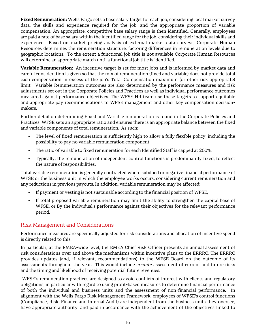**Fixed Remuneration:** Wells Fargo sets a base salary target for each job, considering local market survey data, the skills and experience required for the job, and the appropriate proportion of variable compensation. An appropriate, competitive base salary range is then identified. Generally, employees are paid a rate of base salary within the identified range for the job, considering their individual skills and experience. Based on market pricing analysis of external market data surveys, Corporate Human Resources determines the remuneration structure, factoring differences in remuneration levels due to geographic locations. To the extent a functional job title is not available Corporate Human Resources will determine an appropriate match until a functional job title is identified.

 **Variable Remuneration:** An incentive target is set for most jobs and is informed by market data and careful consideration is given so that the mix of remuneration (fixed and variable) does not provide total cash compensation in excess of the job's Total Compensation maximum (or other risk appropriate) limit. Variable Remuneration outcomes are also determined by the performance measures and risk adjustments set out in the Corporate Policies and Practices as well as individual performance outcomes measured against performance objectives. The WFSE HR team use these targets to support equitable and appropriate pay recommendations to WFSE management and other key compensation decisionmakers.

 Further detail on determining Fixed and Variable remuneration is found in the Corporate Policies and Practices. WFSE sets an appropriate ratio and ensures there is an appropriate balance between the fixed and variable components of total remuneration. As such:

- • The level of fixed remuneration is sufficiently high to allow a fully flexible policy, including the possibility to pay no variable remuneration component.
- The ratio of variable to fixed remuneration for each Identified Staff is capped at 200%.
- • Typically, the remuneration of independent control functions is predominantly fixed, to reflect the nature of responsibilities.

 Total variable remuneration is generally contracted where subdued or negative financial performance of WFSE or the business unit in which the employee works occurs, considering current remuneration and any reductions in previous payouts. In addition, variable remuneration may be affected:

- If payment or vesting is not sustainable according to the financial position of WFSE,
- • If total proposed variable remuneration may limit the ability to strengthen the capital base of WFSE, or By the individual's performance against their objectives for the relevant performance period.

#### Risk Management and Considerations

 Performance measures are specifically adjusted for risk considerations and allocation of incentive spend is directly related to this.

 In particular, at the EMEA-wide level, the EMEA Chief Risk Officer presents an annual assessment of risk considerations over and above the mechanisms within incentive plans to the ERRRC. The ERRRC provides updates (and, if relevant, recommendations) to the WFSE Board on the outcome of its assessments throughout the year. This would include *ex-ante* assessment of current and future risks and the timing and likelihood of receiving potential future revenues.

 WFSE's remuneration practices are designed to avoid conflicts of interest with clients and regulatory obligations, in particular with regard to using profit-based measures to determine financial performance of both the individual and business units and the assessment of non-financial performance. In alignment with the Wells Fargo Risk Management Framework, employees of WFSE's control functions (Compliance, Risk, Finance and Internal Audit) are independent from the business units they oversee, have appropriate authority, and paid in accordance with the achievement of the objectives linked to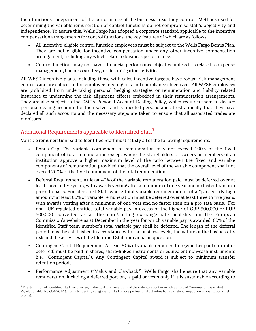their functions, independent of the performance of the business areas they control. Methods used for determining the variable remuneration of control functions do not compromise staff's objectivity and independence. To assure this, Wells Fargo has adopted a corporate standard applicable to the incentive compensation arrangements for control functions, the key features of which are as follows:

- • All incentive-eligible control function employees must be subject to the Wells Fargo Bonus Plan. They are not eligible for incentive compensation under any other incentive compensation arrangement, including any which relate to business performance.
- • Control functions may not have a financial performance objective unless it is related to expense management, business strategy, or risk mitigation activities.

 All WFSE incentive plans, including those with sales incentive targets, have robust risk management controls and are subject to the employee meeting risk and compliance objectives. All WFSE employees are prohibited from undertaking personal hedging strategies or remuneration and liability-related insurance to undermine the risk alignment effects embedded in their remuneration arrangements. They are also subject to the EMEA Personal Account Dealing Policy, which requires them to declare personal dealing accounts for themselves and connected persons and attest annually that they have declared all such accounts and the necessary steps are taken to ensure that all associated trades are monitored.

#### Additional Requirements applicable to Identified Staff $^3$

Variable remuneration paid to Identified Staff must satisfy all of the following requirements:

- • Bonus Cap. The variable component of remuneration may not exceed 100% of the fixed component of total remuneration except where the shareholders or owners or members of an institution approve a higher maximum level of the ratio between the fixed and variable components of remuneration provided that the overall level of the variable component shall not exceed 200% of the fixed component of the total remuneration.
- • Deferral Requirement. At least 40% of the variable remuneration paid must be deferred over at least three to five years, with awards vesting after a minimum of one year and no faster than on a pro-rata basis. For Identified Staff whose total variable remuneration is of a "particularly high amount," at least 60% of variable remuneration must be deferred over at least three to five years, with awards vesting after a minimum of one year and no faster than on a pro-rata basis. For non- UK regulated entities total variable pay in excess of the higher of GBP 500,000 or EUR 500,000 converted as at the euro/sterling exchange rate published on the European Commission's website as at December in the year for which variable pay is awarded, 60% of the Identified Staff team member's total variable pay shall be deferred. The length of the deferral period must be established in accordance with the business cycle, the nature of the business, its risk and the activities of the Identified Staff individual in question.
- • Contingent Capital Requirement. At least 50% of variable remuneration (whether paid upfront or deferred) must be paid in shares, share-linked instruments or equivalent non-cash instruments (i.e., "Contingent Capital"). Any Contingent Capital award is subject to minimum transfer retention periods.
- • Performance Adjustment ("Malus and Clawback"). Wells Fargo shall ensure that any variable remuneration, including a deferred portion, is paid or vests only if it is sustainable according to

 $^3$  The definition of 'Identified staff' includes any individual who meets any of the criteria set out in Articles 3 to 5 of Commission Delegated Regulation (EU) No 604/2014 (criteria to identify categories of staff whose professional activities have a material impact on an institution's risk profile).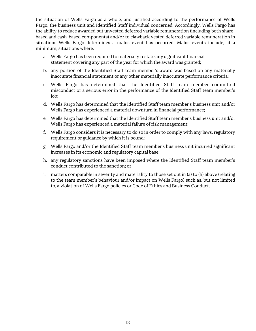the situation of Wells Fargo as a whole, and justified according to the performance of Wells Fargo, the business unit and Identified Staff individual concerned. Accordingly, Wells Fargo has the ability to reduce awarded but unvested deferred variable remuneration (including both share- based and cash-based components) and/or to clawback vested deferred variable remuneration in situations Wells Fargo determines a malus event has occurred. Malus events include, at a minimum, situations where:

- a. Wells Fargo has been required to materially restate any significant financial statement covering any part of the year for which the award was granted;
- b. any portion of the Identified Staff team member's award was based on any materially inaccurate financial statement or any other materially inaccurate performance criteria;
- c. Wells Fargo has determined that the Identified Staff team member committed misconduct or a serious error in the performance of the Identified Staff team member's job;
- d. Wells Fargo has determined that the Identified Staff team member's business unit and/or Wells Fargo has experienced a material downturn in financial performance;
- e. Wells Fargo has determined that the Identified Staff team member's business unit and/or Wells Fargo has experienced a material failure of risk management;
- f. Wells Fargo considers it is necessary to do so in order to comply with any laws, regulatory requirement or guidance by which it is bound;
- g. Wells Fargo and/or the Identified Staff team member's business unit incurred significant increases in its economic and regulatory capital base;
- h. any regulatory sanctions have been imposed where the Identified Staff team member's conduct contributed to the sanction; or
- i. matters comparable in severity and materiality to those set out in (a) to (h) above (relating to the team member's behaviour and/or impact on Wells Fargo) such as, but not limited to, a violation of Wells Fargo policies or Code of Ethics and Business Conduct.